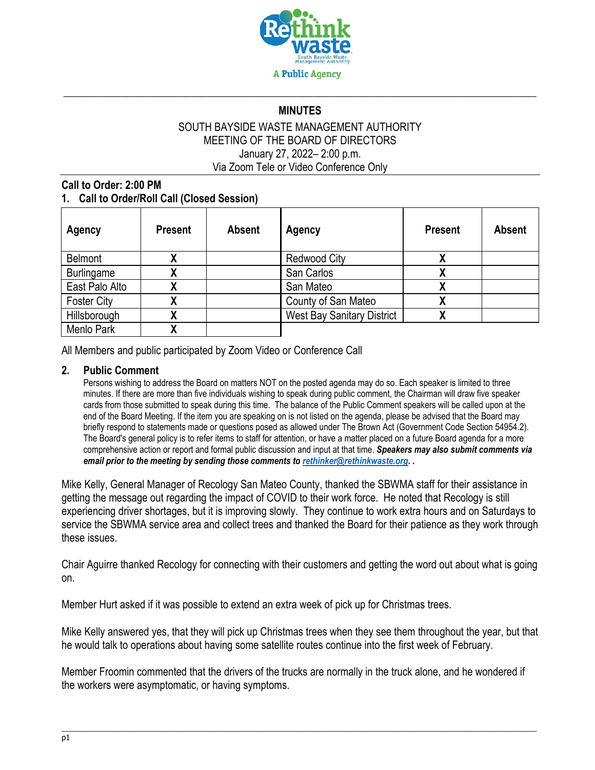

# \_\_\_\_\_\_\_\_\_\_\_\_\_\_\_\_\_\_\_\_\_\_\_\_\_\_\_\_\_\_\_\_\_\_\_\_\_\_\_\_\_\_\_\_\_\_\_\_\_\_\_\_\_\_\_\_\_\_\_\_\_\_\_\_\_\_\_\_\_\_\_\_\_\_\_\_\_\_\_\_\_\_\_\_\_\_\_\_\_ **MINUTES**

#### SOUTH BAYSIDE WASTE MANAGEMENT AUTHORITY MEETING OF THE BOARD OF DIRECTORS January 27, 2022– 2:00 p.m. Via Zoom Tele or Video Conference Only

#### **Call to Order: 2:00 PM 1. Call to Order/Roll Call (Closed Session)**

| Agency             | <b>Present</b> | <b>Absent</b> | Agency                            | <b>Present</b> | <b>Absent</b> |
|--------------------|----------------|---------------|-----------------------------------|----------------|---------------|
| Belmont            |                |               | <b>Redwood City</b>               |                |               |
| <b>Burlingame</b>  |                |               | San Carlos                        |                |               |
| East Palo Alto     |                |               | San Mateo                         |                |               |
| <b>Foster City</b> |                |               | County of San Mateo               |                |               |
| Hillsborough       |                |               | <b>West Bay Sanitary District</b> |                |               |
| Menlo Park         |                |               |                                   |                |               |

All Members and public participated by Zoom Video or Conference Call

#### **2. Public Comment**

Persons wishing to address the Board on matters NOT on the posted agenda may do so. Each speaker is limited to three minutes. If there are more than five individuals wishing to speak during public comment, the Chairman will draw five speaker cards from those submitted to speak during this time. The balance of the Public Comment speakers will be called upon at the end of the Board Meeting. If the item you are speaking on is not listed on the agenda, please be advised that the Board may briefly respond to statements made or questions posed as allowed under The Brown Act (Government Code Section 54954.2). The Board's general policy is to refer items to staff for attention, or have a matter placed on a future Board agenda for a more comprehensive action or report and formal public discussion and input at that time. *Speakers may also submit comments via email prior to the meeting by sending those comments t[o rethinker@rethinkwaste.org.](mailto:rethinker@rethinkwaste.org) .*

Mike Kelly, General Manager of Recology San Mateo County, thanked the SBWMA staff for their assistance in getting the message out regarding the impact of COVID to their work force. He noted that Recology is still experiencing driver shortages, but it is improving slowly. They continue to work extra hours and on Saturdays to service the SBWMA service area and collect trees and thanked the Board for their patience as they work through these issues.

Chair Aguirre thanked Recology for connecting with their customers and getting the word out about what is going on.

Member Hurt asked if it was possible to extend an extra week of pick up for Christmas trees.

Mike Kelly answered yes, that they will pick up Christmas trees when they see them throughout the year, but that he would talk to operations about having some satellite routes continue into the first week of February.

Member Froomin commented that the drivers of the trucks are normally in the truck alone, and he wondered if the workers were asymptomatic, or having symptoms.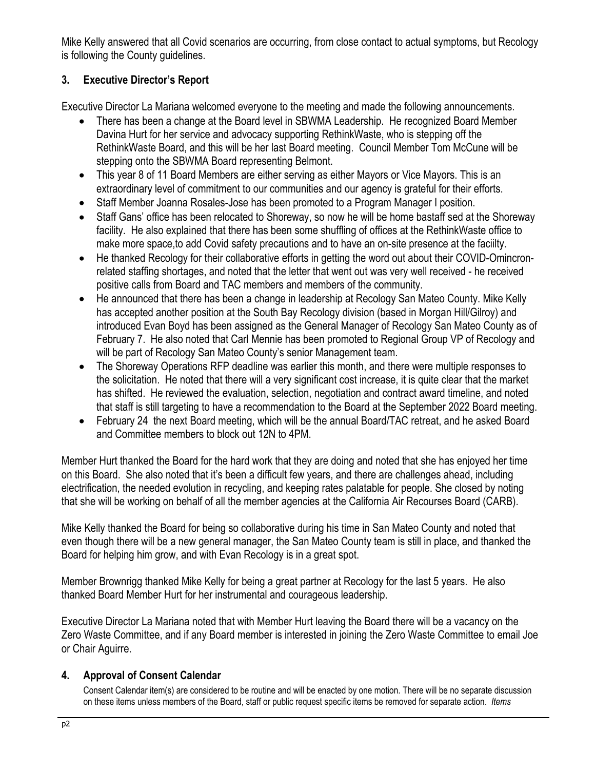Mike Kelly answered that all Covid scenarios are occurring, from close contact to actual symptoms, but Recology is following the County guidelines.

# **3. Executive Director's Report**

Executive Director La Mariana welcomed everyone to the meeting and made the following announcements.

- There has been a change at the Board level in SBWMA Leadership. He recognized Board Member Davina Hurt for her service and advocacy supporting RethinkWaste, who is stepping off the RethinkWaste Board, and this will be her last Board meeting. Council Member Tom McCune will be stepping onto the SBWMA Board representing Belmont.
- This year 8 of 11 Board Members are either serving as either Mayors or Vice Mayors. This is an extraordinary level of commitment to our communities and our agency is grateful for their efforts.
- Staff Member Joanna Rosales-Jose has been promoted to a Program Manager I position.
- Staff Gans' office has been relocated to Shoreway, so now he will be home bastaff sed at the Shoreway facility. He also explained that there has been some shuffling of offices at the RethinkWaste office to make more space,to add Covid safety precautions and to have an on-site presence at the faciilty.
- He thanked Recology for their collaborative efforts in getting the word out about their COVID-Omincronrelated staffing shortages, and noted that the letter that went out was very well received - he received positive calls from Board and TAC members and members of the community.
- He announced that there has been a change in leadership at Recology San Mateo County. Mike Kelly has accepted another position at the South Bay Recology division (based in Morgan Hill/Gilroy) and introduced Evan Boyd has been assigned as the General Manager of Recology San Mateo County as of February 7. He also noted that Carl Mennie has been promoted to Regional Group VP of Recology and will be part of Recology San Mateo County's senior Management team.
- The Shoreway Operations RFP deadline was earlier this month, and there were multiple responses to the solicitation. He noted that there will a very significant cost increase, it is quite clear that the market has shifted. He reviewed the evaluation, selection, negotiation and contract award timeline, and noted that staff is still targeting to have a recommendation to the Board at the September 2022 Board meeting.
- February 24 the next Board meeting, which will be the annual Board/TAC retreat, and he asked Board and Committee members to block out 12N to 4PM.

Member Hurt thanked the Board for the hard work that they are doing and noted that she has enjoyed her time on this Board. She also noted that it's been a difficult few years, and there are challenges ahead, including electrification, the needed evolution in recycling, and keeping rates palatable for people. She closed by noting that she will be working on behalf of all the member agencies at the California Air Recourses Board (CARB).

Mike Kelly thanked the Board for being so collaborative during his time in San Mateo County and noted that even though there will be a new general manager, the San Mateo County team is still in place, and thanked the Board for helping him grow, and with Evan Recology is in a great spot.

Member Brownrigg thanked Mike Kelly for being a great partner at Recology for the last 5 years. He also thanked Board Member Hurt for her instrumental and courageous leadership.

Executive Director La Mariana noted that with Member Hurt leaving the Board there will be a vacancy on the Zero Waste Committee, and if any Board member is interested in joining the Zero Waste Committee to email Joe or Chair Aguirre.

## **4. Approval of Consent Calendar**

Consent Calendar item(s) are considered to be routine and will be enacted by one motion. There will be no separate discussion on these items unless members of the Board, staff or public request specific items be removed for separate action. *Items*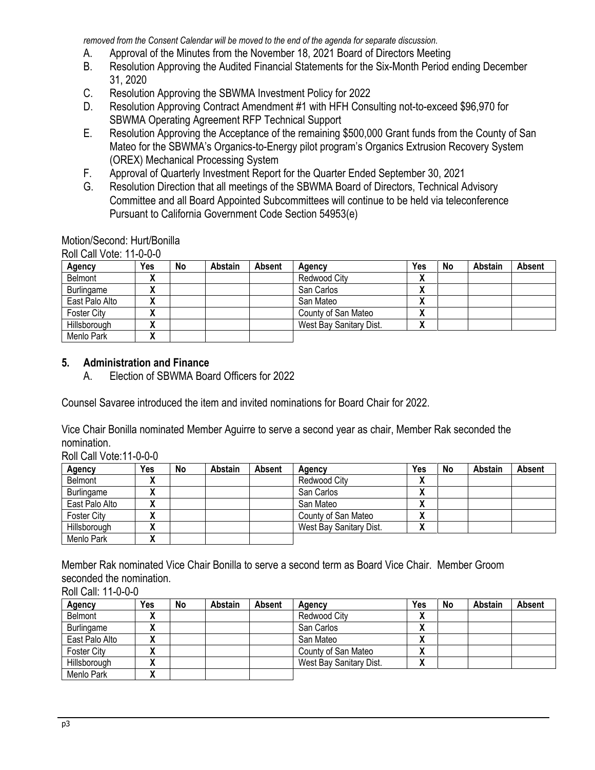*removed from the Consent Calendar will be moved to the end of the agenda for separate discussion*.

- A. Approval of the Minutes from the November 18, 2021 Board of Directors Meeting
- B. Resolution Approving the Audited Financial Statements for the Six-Month Period ending December 31, 2020
- C. Resolution Approving the SBWMA Investment Policy for 2022
- D. Resolution Approving Contract Amendment #1 with HFH Consulting not-to-exceed \$96,970 for SBWMA Operating Agreement RFP Technical Support
- E. Resolution Approving the Acceptance of the remaining \$500,000 Grant funds from the County of San Mateo for the SBWMA's Organics-to-Energy pilot program's Organics Extrusion Recovery System (OREX) Mechanical Processing System
- F. Approval of Quarterly Investment Report for the Quarter Ended September 30, 2021
- G. Resolution Direction that all meetings of the SBWMA Board of Directors, Technical Advisory Committee and all Board Appointed Subcommittees will continue to be held via teleconference Pursuant to California Government Code Section 54953(e)

Motion/Second: Hurt/Bonilla

Roll Call Vote: 11-0-0-0

| Agency             | Yes                        | No | Abstain | Absent | Agency                  | Yes                | No | Abstain | Absent |
|--------------------|----------------------------|----|---------|--------|-------------------------|--------------------|----|---------|--------|
| Belmont            | "                          |    |         |        | Redwood City            | 14<br>Λ            |    |         |        |
| Burlingame         | $\boldsymbol{\mathcal{L}}$ |    |         |        | San Carlos              | v<br>$\mathbf{v}$  |    |         |        |
| East Palo Alto     |                            |    |         |        | San Mateo               | M<br>Λ             |    |         |        |
| <b>Foster City</b> | $\mathbf{v}$               |    |         |        | County of San Mateo     | v<br>$\mathbf{v}$  |    |         |        |
| Hillsborough       | "                          |    |         |        | West Bay Sanitary Dist. | 14<br>$\mathbf{v}$ |    |         |        |
| Menlo Park         |                            |    |         |        |                         |                    |    |         |        |

# **5. Administration and Finance**

A. Election of SBWMA Board Officers for 2022

Counsel Savaree introduced the item and invited nominations for Board Chair for 2022.

Vice Chair Bonilla nominated Member Aguirre to serve a second year as chair, Member Rak seconded the nomination.

Roll Call Vote:11-0-0-0

| Agency             | Yes               | No | Abstain | Absent | Agency                  | Yes               | No | Abstain | Absent |
|--------------------|-------------------|----|---------|--------|-------------------------|-------------------|----|---------|--------|
| Belmont            | $\mathbf{v}$<br>" |    |         |        | Redwood City            | v<br>Λ            |    |         |        |
| Burlingame         | $\mathbf{v}$      |    |         |        | San Carlos              | Λ                 |    |         |        |
| East Palo Alto     | v                 |    |         |        | San Mateo               | M<br>Λ            |    |         |        |
| <b>Foster City</b> | $\mathbf{v}$      |    |         |        | County of San Mateo     | $\mathbf{v}$<br>Λ |    |         |        |
| Hillsborough       | ``<br>"           |    |         |        | West Bay Sanitary Dist. | Δ                 |    |         |        |
| Menlo Park         | ``<br>Λ           |    |         |        |                         |                   |    |         |        |

Member Rak nominated Vice Chair Bonilla to serve a second term as Board Vice Chair. Member Groom seconded the nomination.

Roll Call: 11-0-0-0 **Agency Yes No Abstain Absent Agency Yes No Abstain Absent** Belmont **X X** Redwood City Burlingame **X** X San Carlos **X** East Palo Alto  $\begin{vmatrix} \mathbf{x} & \mathbf{y} \\ \mathbf{y} & \mathbf{z} \end{vmatrix}$   $\begin{vmatrix} \mathbf{x} & \mathbf{y} \\ \mathbf{y} & \mathbf{z} \end{vmatrix}$  San Mateo  $\begin{vmatrix} \mathbf{x} & \mathbf{y} \\ \mathbf{x} & \mathbf{z} \end{vmatrix}$ Foster City **X X** | **X** | **County of San Mateo X** Hillsborough **X X** | **X** | **West Bay Sanitary Dist. <b>X** Menlo Park **X**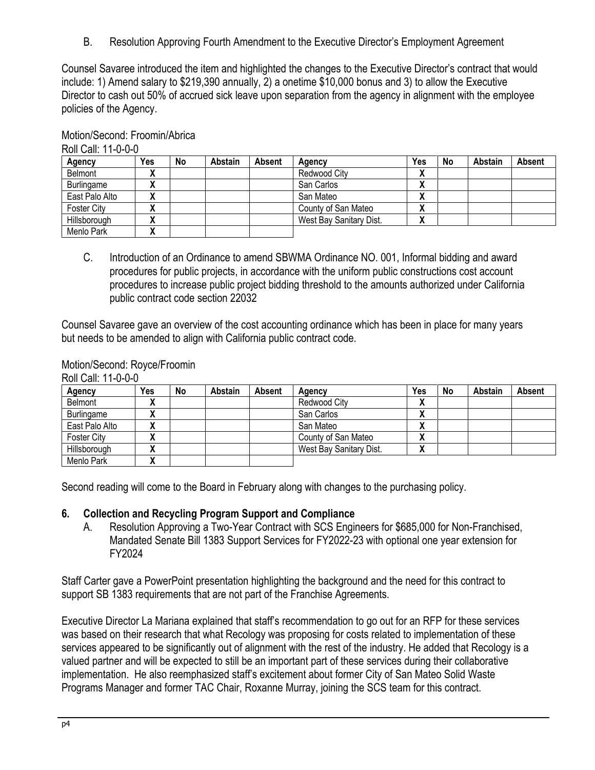B. Resolution Approving Fourth Amendment to the Executive Director's Employment Agreement

Counsel Savaree introduced the item and highlighted the changes to the Executive Director's contract that would include: 1) Amend salary to \$219,390 annually, 2) a onetime \$10,000 bonus and 3) to allow the Executive Director to cash out 50% of accrued sick leave upon separation from the agency in alignment with the employee policies of the Agency.

| ס־ט־ט־ו רוווסט ווערו |              |    |         |        |                         |                   |    |         |        |
|----------------------|--------------|----|---------|--------|-------------------------|-------------------|----|---------|--------|
| Agency               | Yes          | No | Abstain | Absent | Agency                  | Yes               | No | Abstain | Absent |
| Belmont              | $\mathbf{r}$ |    |         |        | Redwood City            | v<br>$\mathbf{r}$ |    |         |        |
| Burlingame           | $\mathbf{v}$ |    |         |        | San Carlos              | v<br>$\mathbf{r}$ |    |         |        |
| East Palo Alto       |              |    |         |        | San Mateo               | v<br>Λ            |    |         |        |
| <b>Foster City</b>   | $\mathbf{v}$ |    |         |        | County of San Mateo     | ٠.<br>Λ           |    |         |        |
| Hillsborough         | $\mathbf{v}$ |    |         |        | West Bay Sanitary Dist. | v<br>$\mathbf{r}$ |    |         |        |
| Menlo Park           | Λ            |    |         |        |                         |                   |    |         |        |

Motion/Second: Froomin/Abrica

Roll Call: 11-0-0-0

C. Introduction of an Ordinance to amend SBWMA Ordinance NO. 001, Informal bidding and award procedures for public projects, in accordance with the uniform public constructions cost account procedures to increase public project bidding threshold to the amounts authorized under California public contract code section 22032

Counsel Savaree gave an overview of the cost accounting ordinance which has been in place for many years but needs to be amended to align with California public contract code.

#### Motion/Second: Royce/Froomin

| ROIL CAIL: 11-0-0-0 |        |    |         |        |                         |              |    |         |        |  |  |
|---------------------|--------|----|---------|--------|-------------------------|--------------|----|---------|--------|--|--|
| Agency              | Yes    | No | Abstain | Absent | Agency                  | Yes          | No | Abstain | Absent |  |  |
| Belmont             | v<br>Λ |    |         |        | Redwood City            | $\mathbf{r}$ |    |         |        |  |  |
| Burlingame          |        |    |         |        | San Carlos              | $\mathbf{v}$ |    |         |        |  |  |
| East Palo Alto      |        |    |         |        | San Mateo               | Λ            |    |         |        |  |  |
| <b>Foster City</b>  | "      |    |         |        | County of San Mateo     | $\mathbf{v}$ |    |         |        |  |  |
| Hillsborough        |        |    |         |        | West Bay Sanitary Dist. | Λ            |    |         |        |  |  |
| Menlo Park          |        |    |         |        |                         |              |    |         |        |  |  |

 $B_0$ ll:  $C_0$ ll: 11 $A_0$  $A_1$ 

Second reading will come to the Board in February along with changes to the purchasing policy.

## **6. Collection and Recycling Program Support and Compliance**

A. Resolution Approving a Two-Year Contract with SCS Engineers for \$685,000 for Non-Franchised, Mandated Senate Bill 1383 Support Services for FY2022-23 with optional one year extension for FY2024

Staff Carter gave a PowerPoint presentation highlighting the background and the need for this contract to support SB 1383 requirements that are not part of the Franchise Agreements.

Executive Director La Mariana explained that staff's recommendation to go out for an RFP for these services was based on their research that what Recology was proposing for costs related to implementation of these services appeared to be significantly out of alignment with the rest of the industry. He added that Recology is a valued partner and will be expected to still be an important part of these services during their collaborative implementation. He also reemphasized staff's excitement about former City of San Mateo Solid Waste Programs Manager and former TAC Chair, Roxanne Murray, joining the SCS team for this contract.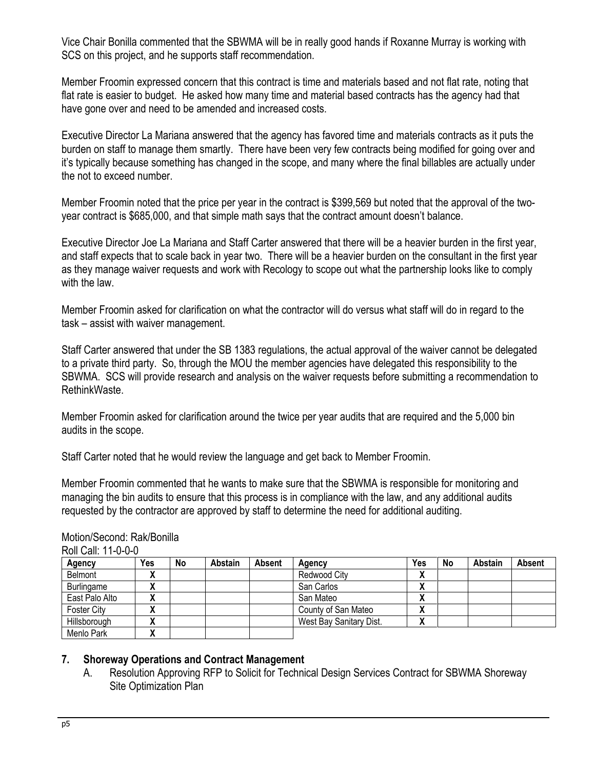Vice Chair Bonilla commented that the SBWMA will be in really good hands if Roxanne Murray is working with SCS on this project, and he supports staff recommendation.

Member Froomin expressed concern that this contract is time and materials based and not flat rate, noting that flat rate is easier to budget. He asked how many time and material based contracts has the agency had that have gone over and need to be amended and increased costs.

Executive Director La Mariana answered that the agency has favored time and materials contracts as it puts the burden on staff to manage them smartly. There have been very few contracts being modified for going over and it's typically because something has changed in the scope, and many where the final billables are actually under the not to exceed number.

Member Froomin noted that the price per year in the contract is \$399,569 but noted that the approval of the twoyear contract is \$685,000, and that simple math says that the contract amount doesn't balance.

Executive Director Joe La Mariana and Staff Carter answered that there will be a heavier burden in the first year, and staff expects that to scale back in year two. There will be a heavier burden on the consultant in the first year as they manage waiver requests and work with Recology to scope out what the partnership looks like to comply with the law.

Member Froomin asked for clarification on what the contractor will do versus what staff will do in regard to the task – assist with waiver management.

Staff Carter answered that under the SB 1383 regulations, the actual approval of the waiver cannot be delegated to a private third party. So, through the MOU the member agencies have delegated this responsibility to the SBWMA. SCS will provide research and analysis on the waiver requests before submitting a recommendation to RethinkWaste.

Member Froomin asked for clarification around the twice per year audits that are required and the 5,000 bin audits in the scope.

Staff Carter noted that he would review the language and get back to Member Froomin.

Member Froomin commented that he wants to make sure that the SBWMA is responsible for monitoring and managing the bin audits to ensure that this process is in compliance with the law, and any additional audits requested by the contractor are approved by staff to determine the need for additional auditing.

| Agency             | Yes | No | Abstain | <b>Absent</b> | Agency                  | Yes | No | Abstain | Absent |
|--------------------|-----|----|---------|---------------|-------------------------|-----|----|---------|--------|
| Belmont            | Λ   |    |         |               | Redwood City            | Λ   |    |         |        |
| Burlingame         | Λ   |    |         |               | San Carlos              | Λ   |    |         |        |
| East Palo Alto     | Λ   |    |         |               | San Mateo               | Λ   |    |         |        |
| <b>Foster City</b> | Λ   |    |         |               | County of San Mateo     | Λ   |    |         |        |
| Hillsborough       | "   |    |         |               | West Bay Sanitary Dist. | Λ   |    |         |        |
| Menlo Park         |     |    |         |               |                         |     |    |         |        |

#### Motion/Second: Rak/Bonilla Roll Call: 11-0-0-0

#### **7. Shoreway Operations and Contract Management**

A. Resolution Approving RFP to Solicit for Technical Design Services Contract for SBWMA Shoreway Site Optimization Plan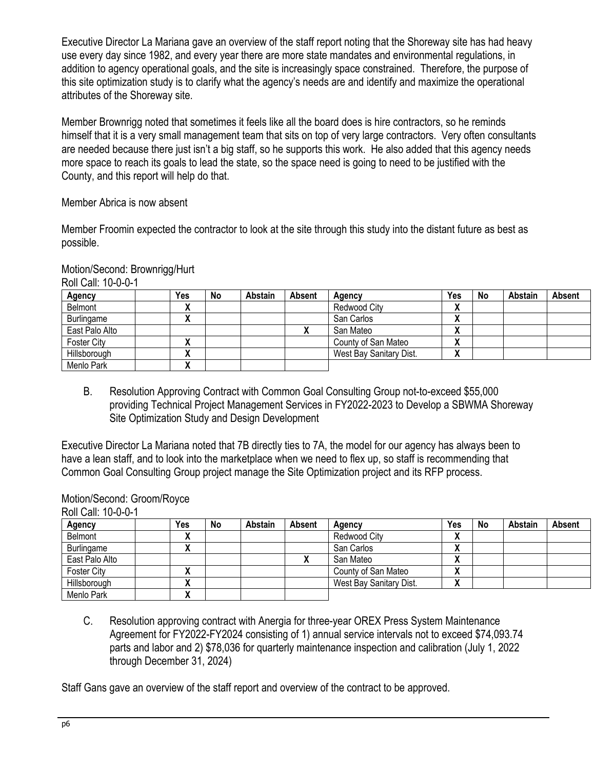Executive Director La Mariana gave an overview of the staff report noting that the Shoreway site has had heavy use every day since 1982, and every year there are more state mandates and environmental regulations, in addition to agency operational goals, and the site is increasingly space constrained. Therefore, the purpose of this site optimization study is to clarify what the agency's needs are and identify and maximize the operational attributes of the Shoreway site.

Member Brownrigg noted that sometimes it feels like all the board does is hire contractors, so he reminds himself that it is a very small management team that sits on top of very large contractors. Very often consultants are needed because there just isn't a big staff, so he supports this work. He also added that this agency needs more space to reach its goals to lead the state, so the space need is going to need to be justified with the County, and this report will help do that.

Member Abrica is now absent

Member Froomin expected the contractor to look at the site through this study into the distant future as best as possible.

| Motion/Second: Brownrigg/Hurt |
|-------------------------------|
| Roll Call: 10-0-0-1           |

| Agency             | Yes                      | No | Abstain | <b>Absent</b> | Agency                  | Yes          | No | Abstain | Absent |
|--------------------|--------------------------|----|---------|---------------|-------------------------|--------------|----|---------|--------|
| Belmont            | $\overline{\phantom{a}}$ |    |         |               | Redwood City            | $\mathbf{v}$ |    |         |        |
| Burlingame         | $\mathbf{v}$             |    |         |               | San Carlos              | $\mathbf{v}$ |    |         |        |
| East Palo Alto     |                          |    |         |               | San Mateo               | $\mathbf{v}$ |    |         |        |
| <b>Foster City</b> |                          |    |         |               | County of San Mateo     | $\mathbf{v}$ |    |         |        |
| Hillsborough       | $\mathbf{v}$             |    |         |               | West Bay Sanitary Dist. | $\mathbf{v}$ |    |         |        |
| Menlo Park         | v<br>$\mathbf{v}$        |    |         |               |                         |              |    |         |        |

B. Resolution Approving Contract with Common Goal Consulting Group not-to-exceed \$55,000 providing Technical Project Management Services in FY2022-2023 to Develop a SBWMA Shoreway Site Optimization Study and Design Development

Executive Director La Mariana noted that 7B directly ties to 7A, the model for our agency has always been to have a lean staff, and to look into the marketplace when we need to flex up, so staff is recommending that Common Goal Consulting Group project manage the Site Optimization project and its RFP process.

## Motion/Second: Groom/Royce

| Roll Call: 10-0-0-1 |                               |    |         |        |                         |                    |    |         |               |
|---------------------|-------------------------------|----|---------|--------|-------------------------|--------------------|----|---------|---------------|
| <b>Agency</b>       | Yes                           | No | Abstain | Absent | Agency                  | Yes                | No | Abstain | <b>Absent</b> |
| Belmont             | v<br>"                        |    |         |        | Redwood City            | $\lambda$          |    |         |               |
| Burlingame          | v<br>$\overline{\phantom{a}}$ |    |         |        | San Carlos              | $\mathbf{\Lambda}$ |    |         |               |
| East Palo Alto      |                               |    |         |        | San Mateo               | $\mathbf{\Lambda}$ |    |         |               |
| <b>Foster City</b>  | v<br>                         |    |         |        | County of San Mateo     | Λ                  |    |         |               |
| Hillsborough        |                               |    |         |        | West Bay Sanitary Dist. | Λ                  |    |         |               |
| Menlo Park          | v<br>$\mathbf{v}$             |    |         |        |                         |                    |    |         |               |

Roll Call: 10-0-0-1

C. Resolution approving contract with Anergia for three-year OREX Press System Maintenance Agreement for FY2022-FY2024 consisting of 1) annual service intervals not to exceed \$74,093.74 parts and labor and 2) \$78,036 for quarterly maintenance inspection and calibration (July 1, 2022 through December 31, 2024)

Staff Gans gave an overview of the staff report and overview of the contract to be approved.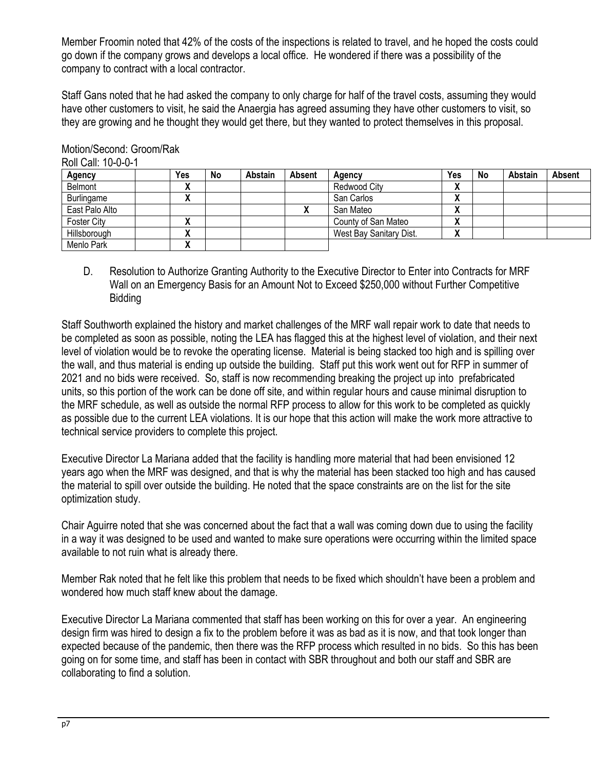Member Froomin noted that 42% of the costs of the inspections is related to travel, and he hoped the costs could go down if the company grows and develops a local office. He wondered if there was a possibility of the company to contract with a local contractor.

Staff Gans noted that he had asked the company to only charge for half of the travel costs, assuming they would have other customers to visit, he said the Anaergia has agreed assuming they have other customers to visit, so they are growing and he thought they would get there, but they wanted to protect themselves in this proposal.

| דע־ט־ט־ווערווואט |         |    |                |               |                         |        |    |         |        |
|------------------|---------|----|----------------|---------------|-------------------------|--------|----|---------|--------|
| <b>Agency</b>    | Yes     | No | <b>Abstain</b> | <b>Absent</b> | Agency                  | Yes    | No | Abstain | Absent |
| Belmont          | Λ       |    |                |               | Redwood City            | v<br>Λ |    |         |        |
| Burlingame       | Λ       |    |                |               | San Carlos              | `<br>Λ |    |         |        |
| East Palo Alto   |         |    |                |               | San Mateo               | `<br>Λ |    |         |        |
| Foster City      | Λ       |    |                |               | County of San Mateo     | `<br>Λ |    |         |        |
| Hillsborough     | Λ       |    |                |               | West Bay Sanitary Dist. | v<br>Λ |    |         |        |
| Menlo Park       | ``<br>Λ |    |                |               |                         |        |    |         |        |

Motion/Second: Groom/Rak Roll Call: 10-0-0-1

> D. Resolution to Authorize Granting Authority to the Executive Director to Enter into Contracts for MRF Wall on an Emergency Basis for an Amount Not to Exceed \$250,000 without Further Competitive Bidding

Staff Southworth explained the history and market challenges of the MRF wall repair work to date that needs to be completed as soon as possible, noting the LEA has flagged this at the highest level of violation, and their next level of violation would be to revoke the operating license. Material is being stacked too high and is spilling over the wall, and thus material is ending up outside the building. Staff put this work went out for RFP in summer of 2021 and no bids were received. So, staff is now recommending breaking the project up into prefabricated units, so this portion of the work can be done off site, and within regular hours and cause minimal disruption to the MRF schedule, as well as outside the normal RFP process to allow for this work to be completed as quickly as possible due to the current LEA violations. It is our hope that this action will make the work more attractive to technical service providers to complete this project.

Executive Director La Mariana added that the facility is handling more material that had been envisioned 12 years ago when the MRF was designed, and that is why the material has been stacked too high and has caused the material to spill over outside the building. He noted that the space constraints are on the list for the site optimization study.

Chair Aguirre noted that she was concerned about the fact that a wall was coming down due to using the facility in a way it was designed to be used and wanted to make sure operations were occurring within the limited space available to not ruin what is already there.

Member Rak noted that he felt like this problem that needs to be fixed which shouldn't have been a problem and wondered how much staff knew about the damage.

Executive Director La Mariana commented that staff has been working on this for over a year. An engineering design firm was hired to design a fix to the problem before it was as bad as it is now, and that took longer than expected because of the pandemic, then there was the RFP process which resulted in no bids. So this has been going on for some time, and staff has been in contact with SBR throughout and both our staff and SBR are collaborating to find a solution.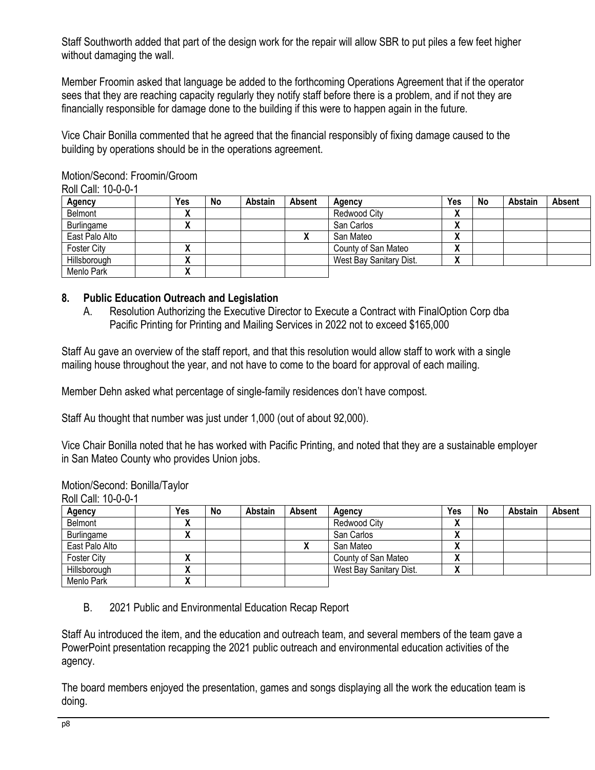Staff Southworth added that part of the design work for the repair will allow SBR to put piles a few feet higher without damaging the wall.

Member Froomin asked that language be added to the forthcoming Operations Agreement that if the operator sees that they are reaching capacity regularly they notify staff before there is a problem, and if not they are financially responsible for damage done to the building if this were to happen again in the future.

Vice Chair Bonilla commented that he agreed that the financial responsibly of fixing damage caused to the building by operations should be in the operations agreement.

| ROII Gall. 10-0-0-1<br><b>Agency</b> | Yes     | No | <b>Abstain</b> | Absent | Agency                  | Yes                | No | Abstain | Absent |
|--------------------------------------|---------|----|----------------|--------|-------------------------|--------------------|----|---------|--------|
| Belmont                              | v<br>Λ  |    |                |        | Redwood City            | $\mathbf{v}$       |    |         |        |
| Burlingame                           | ``<br>Λ |    |                |        | San Carlos              | Λ                  |    |         |        |
| East Palo Alto                       |         |    |                | Λ      | San Mateo               | $\mathbf{\Lambda}$ |    |         |        |
| <b>Foster City</b>                   | Λ       |    |                |        | County of San Mateo     | Λ                  |    |         |        |
| Hillsborough                         | v<br>Λ  |    |                |        | West Bay Sanitary Dist. | Λ                  |    |         |        |
| Menlo Park                           | v<br>Λ  |    |                |        |                         |                    |    |         |        |

Motion/Second: Froomin/Groom Roll Call: 10-0-0-1

# **8. Public Education Outreach and Legislation**

A. Resolution Authorizing the Executive Director to Execute a Contract with FinalOption Corp dba Pacific Printing for Printing and Mailing Services in 2022 not to exceed \$165,000

Staff Au gave an overview of the staff report, and that this resolution would allow staff to work with a single mailing house throughout the year, and not have to come to the board for approval of each mailing.

Member Dehn asked what percentage of single-family residences don't have compost.

Staff Au thought that number was just under 1,000 (out of about 92,000).

Vice Chair Bonilla noted that he has worked with Pacific Printing, and noted that they are a sustainable employer in San Mateo County who provides Union jobs.

Motion/Second: Bonilla/Taylor

Roll Call: 10-0-0-1

| <b>Agency</b>      | Yes | No | Abstain | Absent | Agency                  | Yes                            | No | Abstain | Absent |
|--------------------|-----|----|---------|--------|-------------------------|--------------------------------|----|---------|--------|
| Belmont            | "   |    |         |        | Redwood City            | $\blacksquare$<br>$\mathbf{v}$ |    |         |        |
| Burlingame         | ,,  |    |         |        | San Carlos              | $\blacksquare$<br>$\mathbf{v}$ |    |         |        |
| East Palo Alto     |     |    |         |        | San Mateo               | $\blacksquare$<br>$\mathbf{v}$ |    |         |        |
| <b>Foster City</b> |     |    |         |        | County of San Mateo     | $\mathbf{v}$                   |    |         |        |
| Hillsborough       | "   |    |         |        | West Bay Sanitary Dist. | 14<br>$\mathbf{v}$             |    |         |        |
| Menlo Park         | v   |    |         |        |                         |                                |    |         |        |

B. 2021 Public and Environmental Education Recap Report

Staff Au introduced the item, and the education and outreach team, and several members of the team gave a PowerPoint presentation recapping the 2021 public outreach and environmental education activities of the agency.

The board members enjoyed the presentation, games and songs displaying all the work the education team is doing.